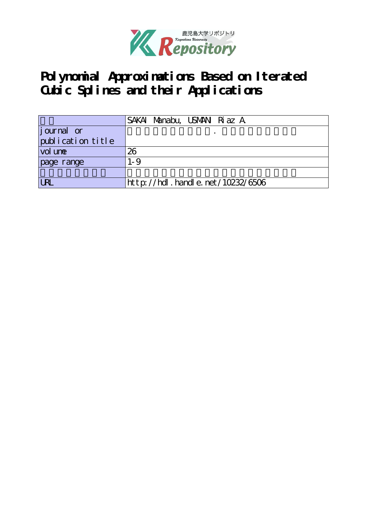

**Polynomial Approximations Based on Iterated Cubic Splines and their Applications**

|                   | SAKAI Manabu, USMAN Riaz A              |
|-------------------|-----------------------------------------|
| journal or        |                                         |
| publication title |                                         |
| vol une           | 26                                      |
| page range        | $1 - 9$                                 |
|                   |                                         |
| <b>URL</b>        | $http$ : //hdl. handle. net /10232/6506 |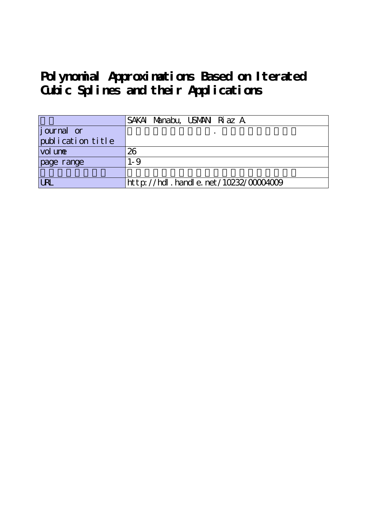**Polynomial Approximations Based on Iterated Cubic Splines and their Applications**

|                   | SAKAI Manabu, USMAN Riaz A           |
|-------------------|--------------------------------------|
| journal or        |                                      |
| publication title |                                      |
| vol une           | 26                                   |
| page range        | $1 - 9$                              |
|                   |                                      |
| <b>LRL</b>        | http://hdl.handle.net/10232/00004009 |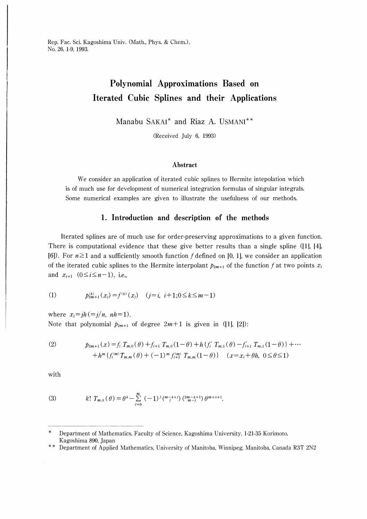Rep. Fac. Sci. Kagoshima Univ. (Math., Phys. & Chem.), No. 26, 1-9, 1993.

# Polynomial Approximations Based on Iterated Cubic Splines and their Applications

Manabu SAKAI\* and Riaz A. USMANI\*\*

(Received July 6, 1993)

#### Abstract

We consider an application of iterated cubic splines to Hermite intepolation which is of much use for development of numerical integration formulas of singular integrals. Some numerical examples are given to illustrate the usefulness of our methods.

### 1. Introduction and description of the methods

Iterated splines are of much use for order-preserving approximations to a given function There is computational evidence that these give better results than a single spline  $(11, 14)$ , [6]). For  $n\geq 1$  and a sufficiently smooth function f defined on [0, 1], we consider an application of the iterated cubic splines to the Hermite interpolant  $p_{2m+1}$  of the function f at two points  $x_i$ and  $x_{i+1}$  (0≤i≤n-1), i.e.,

(1) 
$$
p_{2m+1}^{(k)}(x_j) = f^{(k)}(x_j) \quad (j = i, i+1; 0 \le k \le m-1)
$$

where  $x_i=ih (=j/n, nh=1)$ . Note that polynomial  $p_{2m+1}$  of degree  $2m+1$  is given in ([1], [2]):

(2) 
$$
p_{2m+1}(x) = f_i T_{m,0}(\theta) + f_{i+1} T_{m,0}(1-\theta) + h \{ f'_i T_{m,1}(\theta) - f'_{i+1} T_{m,1}(1-\theta) \} + \cdots + h^m \{ f_i^{(m)} T_{m,m}(\theta) + (-1)^m f_{i+1}^{(m)} T_{m,m}(1-\theta) \} \quad (x = x_i + \theta h, \ 0 \le \theta \le 1)
$$

with

(3) 
$$
k! T_{m,k}(\theta) = \theta^k - \sum_{j=0}^m (-1)^j \binom{m-k+j}{j} \binom{2m-k+1}{m-j} \theta^{m+s+1}.
$$

Department of Mathematics, Faculty of Science, Kagoshima University, 1-21-35 Korimoto, Kagoshima 890, Japan

<sup>\*\*</sup> Department of Applied Mathematics, University of Manitoba, Winnipeg, Manitoba, Canada R3T 2N2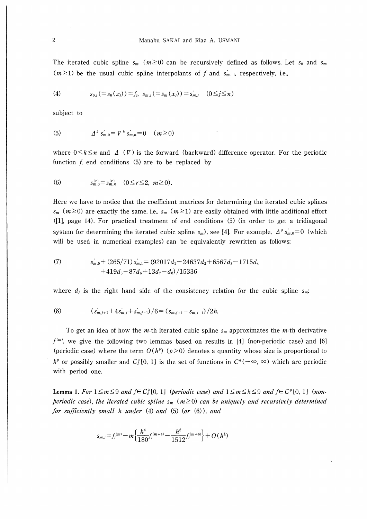The iterated cubic spline  $s_m$  ( $m \ge 0$ ) can be recursively defined as follows. Let  $s_0$  and  $s_m$  $(m\geq 1)$  be the usual cubic spline interpolants of f and  $s'_{m-1}$ , respectively, i.e.,

(4) 
$$
s_{0,j} (= s_0(x_j)) = f_j, \ s_{m,j} (= s_m(x_j)) = s'_{m,j} \quad (0 \le j \le n)
$$

subject to

(5) 
$$
\Delta^k s'_{m,0} = \nabla^k s'_{m,n} = 0 \quad (m \ge 0)
$$

where  $0 \le k \le n$  and  $\Delta(\nabla)$  is the forward (backward) difference operator. For the periodic function  $f$ , end conditions  $(5)$  are to be replaced by

(6) 
$$
s_{m,0}^{(r)} = s_{m,n}^{(r)} \quad (0 \leq r \leq 2, \ m \geq 0).
$$

Here we have to notice that the coefficient matrices for determining the iterated cubic splines  $s_m$  ( $m \ge 0$ ) are exactly the same, i.e.,  $s_m$  ( $m \ge 1$ ) are easily obtained with little additional effort ([1], page 14). For practical treatment of end conditions (5) (in order to get a tridiagonal system for determining the iterated cubic spline  $s_m$ ), see [4]. For example,  $\Delta^9 s'_{m,0} = 0$  (which will be used in numerical examples) can be equivalently rewritten as follows:

(7) 
$$
s'_{m,0} + (265/71) s'_{m,1} = (92017d_1 - 24637d_2 + 6567d_3 - 1715d_4 + 419d_5 - 87d_6 + 13d_7 - d_8)/15336
$$

where  $d_i$  is the right hand side of the consistency relation for the cubic spline  $s_m$ .

(8) 
$$
(s'_{m,j+1}+4s'_{m,j}+s'_{m,j-1})/6=(s_{m,j+1}-s_{m,j-1})/2h.
$$

To get an idea of how the *m*-th iterated cubic spline  $s_m$  approximates the *m*-th derivative  $f^{(m)}$ , we give the following two lemmas based on results in [4] (non-periodic case) and [6] (periodic case) where the term  $O(h^p)(p>0)$  denotes a quantity whose size is proportional to  $h^{\rho}$  or possibly smaller and  $C_{\theta}^{q}[0, 1]$  is the set of functions in  $C^{q}(-\infty, \infty)$  which are periodic with period one.

Lemma 1. For  $1 \le m \le 9$  and  $f \in C_p^9[0, 1]$  (periodic case) and  $1 \le m \le k \le 9$  and  $f \in C^9[0, 1]$  (nonperiodic case), the iterated cubic spline  $s_m$  ( $m \ge 0$ ) can be uniquely and recursively determined for sufficiently small h under  $(4)$  and  $(5)$   $(0r)(6)$ , and

$$
s_{m,j} = f_j^{(m)} - m \left\{ \frac{h^4}{180} f_j^{(m+4)} - \frac{h^6}{1512} f_j^{(m+6)} \right\} + O(h^L)
$$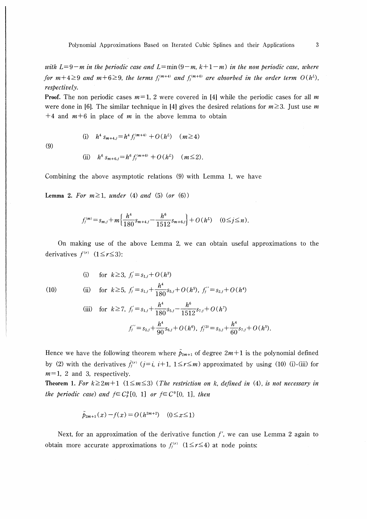with  $L=9-m$  in the periodic case and  $L=\min(9-m, k+1-m)$  in the non periodic case, where for  $m+4\geq 9$  and  $m+6\geq 9$ , the terms  $f_j^{(m+4)}$  and  $f_j^{(m+6)}$  are absorbed in the order term  $O(h^L)$ , respectively.

**Proof.** The non periodic cases  $m=1$ , 2 were covered in [4] while the periodic cases for all m were done in [6]. The similar technique in [4] gives the desired relations for  $m \geq 3$ . Just use m  $+4$  and  $m+6$  in place of m in the above lemma to obtain

(9)

(i) 
$$
h^4 s_{m+4,j} = h^4 f_j^{(m+4)} + O(h^L)
$$
  $(m \ge 4)$   
\n(ii)  $h^6 s_{m+6,j} = h^6 f_j^{(m+6)} + O(h^L)$   $(m \le 2)$ .

Combining the above asymptotic relations (9) with Lemma 1, we have

Lemma 2. For  $m \geq 1$ , under (4) and (5) (or (6))

$$
f_j^{(m)} = s_{m,j} + m \left\{ \frac{h^4}{180} s_{m+4,j} - \frac{h^6}{1512} s_{m+6,j} \right\} + O(h^L) \quad (0 \le j \le n).
$$

(ii) for  $k \geq 5$ ,  $f_j = s_{1,j} + \frac{h^4}{180} s_{5,j} + O(h^5)$ ,  $f_j'' = s_{2,j} + O(h^4)$ 

On making use of the above Lemma 2, we can obtain useful approximations to the derivatives  $f^{(r)}$  (1≤r≤3):

(i) for 
$$
k \ge 3
$$
,  $f'_j = s_{1,j} + O(h^3)$ 

(10)

(iii) for 
$$
k \ge 7
$$
,  $f_j' = s_{1,j} + \frac{h^4}{180} s_{5,j} - \frac{h^6}{1512} s_{7,j} + O(h^7)$   

$$
f_j'' = s_{2,j} + \frac{h^4}{90} s_{6,j} + O(h^6), \ f_j^{(3)} = s_{3,j} + \frac{h^4}{60} s_{7,j} + O(h^5).
$$

Hence we have the following theorem where  $\tilde{p}_{2m+1}$  of degree  $2m+1$  is the polynomial defined by (2) with the derivatives  $\tilde{f}_i^{(r)}$  ( $j=i$ ,  $i+1$ ,  $1\leq r\leq m$ ) approximated by using (10) (i)-(iii) for  $m=1$ , 2 and 3, respectively.

Theorem 1. For  $k \geq 2m+1$  (1 $\leq m \leq 3$ ) (The restriction on k, defined in (4), is not necessary in the periodic case) and  $f \in C_p^9[0, 1]$  or  $f \in C^9[0, 1]$ , then

$$
\tilde{p}_{2m+1}(x) - f(x) = O(h^{2m+2}) \quad (0 \le x \le 1)
$$

Next, for an approximation of the derivative function  $f'$ , we can use Lemma 2 again to obtain more accurate approximations to  $f_j^{(r)}$  (1≤r≤4) at node points: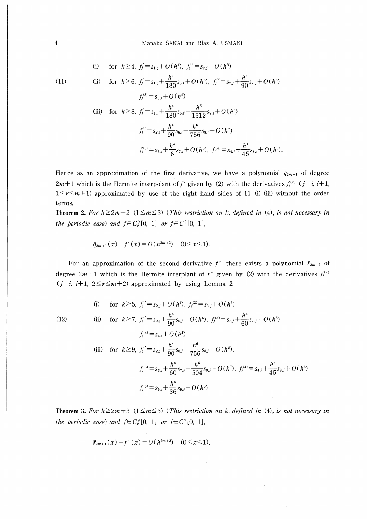(i) for 
$$
k \ge 4
$$
,  $f'_j = s_{1,j} + O(h^4)$ ,  $f''_j = s_{2,j} + O(h^3)$ 

 $(11)$ 

 $(12)$ 

(ii) for 
$$
k \ge 6
$$
,  $f_j' = s_{1,j} + \frac{h^4}{180} s_{5,j} + O(h^6)$ ,  $f_j'' = s_{2,j} + \frac{h^4}{90} s_{7,j} + O(h^5)$   
\n $f_j^{(3)} = s_{3,j} + O(h^4)$   
\n(iii) for  $k \ge 8$ ,  $f_j' = s_{1,j} + \frac{h^4}{180} s_{5,j} - \frac{h^6}{1512} s_{7,j} + O(h^8)$   
\n $f_j'' = s_{2,j} + \frac{h^4}{90} s_{6,j} - \frac{h^6}{756} s_{8,j} + O(h^7)$   
\n $f_j^{(3)} = s_{3,j} + \frac{h^4}{6} s_{7,j} + O(h^6)$ ,  $f_j^{(4)} = s_{4,j} + \frac{h^4}{45} s_{8,j} + O(h^5)$ .

Hence as an approximation of the first derivative, we have a polynomial  $\tilde{q}_{2m+1}$  of degree  $2m+1$  which is the Hermite interpolant of f' given by (2) with the derivatives  $f_j^{(r)}$  ( $j=i$ ,  $i+1$ ,  $1 \le r \le m+1$ ) approximated by use of the right hand sides of 11 (i)-(iii) without the order terms.

Theorem 2. For  $k \geq 2m+2$  ( $1 \leq m \leq 3$ ) (This restriction on k, defined in (4), is not necessary in the periodic case) and  $f \in C_p^9[0, 1]$  or  $f \in C^9[0, 1]$ ,

$$
\tilde{q}_{2m+1}(x) - f'(x) = O(h^{2m+2}) \quad (0 \le x \le 1).
$$

For an approximation of the second derivative  $f''$ , there exists a polynomial  $\tilde{r}_{2m+1}$  of degree  $2m+1$  which is the Hermite interplant of f'' given by (2) with the derivatives  $f_i^{(r)}$  $(j=i, i+1, 2 \le r \le m+2)$  approximated by using Lemma 2:

(i) for 
$$
k \ge 5
$$
,  $f_j'' = s_{2,j} + O(h^4)$ ,  $f_j^{(3)} = s_{3,j} + O(h^3)$   
\n(ii) for  $k \ge 7$ ,  $f_j'' = s_{2,j} + \frac{h^4}{90} s_{6,j} + O(h^6)$ ,  $f_j^{(3)} = s_{3,j} + \frac{h^4}{60} s_{7,j} + O(h^5)$   
\n $f_j^{(4)} = s_{4,j} + O(h^4)$   
\n(iii) for  $k \ge 9$ ,  $f_j'' = s_{2,j} + \frac{h^4}{90} s_{6,j} - \frac{h^6}{756} s_{8,j} + O(h^8)$ ,  
\n $f_j^{(3)} = s_{3,j} + \frac{h^4}{60} s_{7,j} - \frac{h^6}{504} s_{9,j} + O(h^7)$ ,  $f_j^{(4)} = s_{4,j} + \frac{h^4}{45} s_{8,j} + O(h^6)$   
\n $f_j^{(5)} = s_{5,j} + \frac{h^4}{36} s_{9,j} + O(h^5)$ .

Theorem 3. For  $k \geq 2m+3$  ( $1 \leq m \leq 3$ ) (This restriction on k, defined in (4), is not necessary in the periodic case) and  $f \in C_p^9[0, 1]$  or  $f \in C_p^9[0, 1]$ ,

$$
\tilde{r}_{2m+1}(x) - f''(x) = O(h^{2m+2}) \quad (0 \le x \le 1).
$$

 $\overline{4}$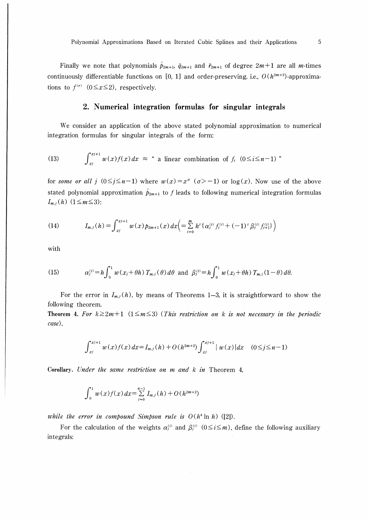Finally we note that polynomials  $\tilde{p}_{2m+1}$ ,  $\tilde{q}_{2m+1}$  and  $\tilde{r}_{2m+1}$  of degree  $2m+1$  are all *m*-times continuously differentiable functions on [0, 1] and order-preserving, i.e.,  $O(h^{2m+2})$ -approximations to  $f^{(r)}$  (0≤x≤2), respectively.

## 2. Numerical integration formulas for singular integrals

We consider an application of the above stated polynomial approximation to numerical integration formulas for singular integrals of the form:

(13) 
$$
\int_{x_j}^{x_{j+1}} w(x) f(x) dx \approx \text{ a linear combination of } f_i \quad (0 \leq i \leq n-1) \text{ }
$$

for some or all j  $(0 \le j \le n-1)$  where  $w(x) = x^{\sigma}$   $(\sigma > -1)$  or  $\log(x)$ . Now use of the above stated polynomial approximation  $\tilde{p}_{2m+1}$  to f leads to following numerical integration formulas  $I_{m,j}(h)$  (1≤m≤3):

(14) 
$$
I_{m,j}(h) = \int_{x_j}^{x_{j+1}} w(x) p_{2m+1}(x) dx \Big( = \sum_{i=0}^{m} h^i \{ \alpha_j^{(i)} f_j^{(i)} + (-1)^i \beta_j^{(i)} f_{j+1}^{(i)} \} \Big)
$$

with

(15) 
$$
\alpha_j^{(i)} = h \int_0^1 w(x_j + \theta h) T_{m,i}(\theta) d\theta \text{ and } \beta_j^{(i)} = h \int_0^1 w(x_j + \theta h) T_{m,i} (1 - \theta) d\theta.
$$

For the error in  $I_{m,j}(h)$ , by means of Theorems 1-3, it is straightforward to show the following theorem.

Theorem 4. For  $k \geq 2m+1$  (1≤m≤3) (This restriction on k is not necessary in the periodic case),

$$
\int_{x_j}^{x_{j+1}} w(x) f(x) dx = I_{m,j}(h) + O(h^{2m+2}) \int_{x_j}^{x_{j+1}} |w(x)| dx \quad (0 \le j \le n-1)
$$

Corollary. Under the same restriction on  $m$  and  $k$  in Theorem 4,

$$
\int_0^1 w(x)f(x) dx = \sum_{j=0}^{n-1} I_{m,j}(h) + O(h^{2m+2})
$$

while the error in compound Simpson rule is  $O(h^4 \ln h)$  ([2]).

For the calculation of the weights  $\alpha_i^{(i)}$  and  $\beta_i^{(i)}$   $(0 \le i \le m)$ , define the following auxiliary integrals: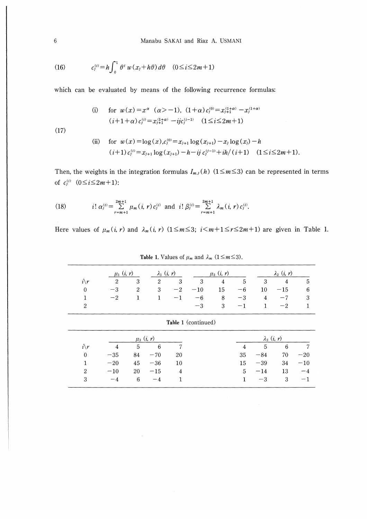(16) 
$$
c_j^{(i)} = h \int_0^1 \theta^i w(x_j + h\theta) d\theta \quad (0 \le i \le 2m+1)
$$

which can be evaluated by means of the following recurrence formulas:

(i) for 
$$
w(x) = x^{\alpha}
$$
 ( $\alpha > -1$ ),  $(1+\alpha) c_j^{(0)} = x_{j+1}^{(1+\alpha)} - x_j^{(1+\alpha)}$   
\n( $i+1+\alpha$ )  $c_j^{(i)} = x_{j+1}^{(1+\alpha)} - ij c_j^{(i-1)}$  ( $1 \le i \le 2m+1$ )

 $(17)$ 

(ii) for 
$$
w(x) = \log(x), c_j^{(0)} = x_{j+1} \log(x_{j+1}) - x_j \log(x_j) - h
$$
  
\n $(i+1) c_j^{(i)} = x_{j+1} \log(x_{j+1}) - h - ij c_j^{(j-1)} + ih/(i+1)$   $(1 \le i \le 2m+1).$ 

Then, the weights in the integration formulas  $I_{m,j}(h)$  ( $1 \leq m \leq 3$ ) can be represented in terms of  $c_j^{(i)}$   $(0 \le i \le 2m+1)$ :

(18) 
$$
i! \alpha_j^{(i)} = \sum_{r=m+1}^{2m+1} \mu_m(i, r) c_j^{(i)} \text{ and } i! \beta_j^{(i)} = \sum_{r=m+1}^{2m+1} \lambda_m(i, r) c_j^{(i)}.
$$

 $\hat{\mathcal{A}}$ 

Here values of  $\mu_m(i, r)$  and  $\lambda_m(i, r)$   $(1 \leq m \leq 3; i \leq m+1 \leq r \leq 2m+1)$  are given in Table 1.

|                 | $\mu_1$ $(i, r)$                         |                | $\lambda_1$ $(i, r)$ |                |       | $\mu_2$ $(i, r)$ |                |                | $\lambda_2$ $(i, r)$ |              |
|-----------------|------------------------------------------|----------------|----------------------|----------------|-------|------------------|----------------|----------------|----------------------|--------------|
| $i\backslash r$ | $\overline{2}$                           | 3              | $\overline{2}$       | 3              | 3     | $\overline{4}$   | $\overline{5}$ | 3              | $\overline{4}$       | 5            |
| $\overline{0}$  | $-3$                                     | $\overline{2}$ | 3                    | $-2$           | $-10$ | 15               | $-6$           | 10             | $-15$                | 6            |
| $\mathbf{1}$    | $-2$                                     | 1              | $\mathbf{1}$         | $-1$           | $-6$  | 8                | $-3$           | $\overline{4}$ | $-7$                 | 3            |
| $\overline{2}$  |                                          |                |                      |                | $-3$  | 3                | $-1$           | $\mathbf{1}$   | $-2$                 | $\mathbf{1}$ |
|                 | Table 1 (continued)                      |                |                      |                |       |                  |                |                |                      |              |
|                 | $\lambda_3$ $(i, r)$<br>$\mu_3$ $(i, r)$ |                |                      |                |       |                  |                |                |                      |              |
| $i\backslash r$ | $\overline{4}$                           | 5              | 6                    |                |       |                  | $\overline{4}$ | 5              | 6                    | 7            |
| $\overline{0}$  | $-35$                                    | 84             | $-70$                | 20             |       |                  | 35             | $-84$          | 70                   | $-20$        |
| $\mathbf{1}$    | $-20$                                    | 45             | $-36$                | 10             |       |                  | 15             | $-39$          | 34                   | $-10$        |
| $\overline{2}$  | $-10$                                    | 20             | $-15$                | $\overline{4}$ |       |                  | 5              | $-14$          | 13                   | $-4$         |
| 3               | $-4$                                     | 6              | $-4$                 | 1              |       |                  | $\mathbf{1}$   | $-3$           | 3                    | -1           |

Table 1. Values of  $\mu_m$  and  $\lambda_m$  ( $1 \le m \le 3$ ).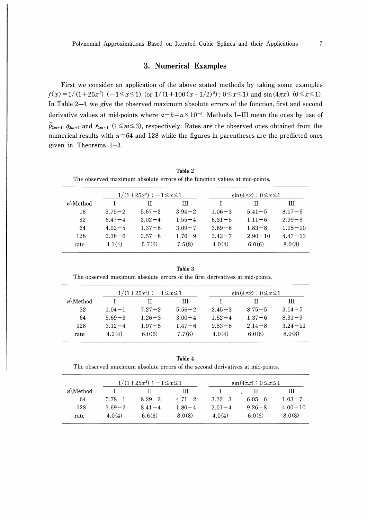## 3. Numerical Examples

First we consider an application of the above stated methods by taking some examples  $f(x)=1/(1+25x^2)$  (-1≤x≤1) (or  $1/(1+100(x-1/2)^2)$ :  $0\leq x\leq 1$ ) and sin(4 $\pi x$ ) ( $0\leq x\leq 1$ ). In Table 2-4, we give the observed maximum absolute errors of the function, first and second derivative values at mid-points where  $a-b=a\times 10^{-b}$ . Methods I-III mean the ones by use of  $\tilde{p}_{2m+1}$ ,  $\tilde{q}_{2m+1}$  and  $\tilde{r}_{2m+1}$  (1≤m≤3), respectively. Rates are the observed ones obtained from the numerical results with  $n=64$  and 128 while the figures in parentheses are the predicted ones given in Theorems 1-3.

Table 2 The observed maximum absolute errors of the function values at mid-points.

|             |            | $1/(1+25x^2)$ : $-1 \leq x \leq 1$ |            | $\sin(4\pi x): 0 \leq x \leq 1$ |             |             |
|-------------|------------|------------------------------------|------------|---------------------------------|-------------|-------------|
| $n\$ Method |            | П                                  | Ш          |                                 | Н           | Ш           |
| 16          | $3.79 - 2$ | $5.67 - 2$                         | $3.94 - 2$ | $1.06 - 3$                      | $5.41 - 5$  | $8.17 - 6$  |
| 32          | $6.47 - 4$ | $2.02 - 4$                         | $1.55 - 4$ | $6.31 - 5$                      | $1.11 - 6$  | $2.99 - 8$  |
| 64          | $4.02 - 5$ | $1.37 - 6$                         | $3.09 - 7$ | $3.89 - 6$                      | $1.83 - 8$  | $1.15 - 10$ |
| 128         | $2.38 - 6$ | $2.57 - 8$                         | $1.76 - 9$ | $2.42 - 7$                      | $2.90 - 10$ | $4.47 - 13$ |
| rate        | 4.1(4)     | 5.7(6)                             | 7.5(8)     | 4.0(4)                          | 6.0(6)      | 8.0(8)      |

Table 3 The observed maximum absolute errors of the first derivatives at mid-points.

|             | $1/(1+25x^2)$ : $-1 \leq x \leq 1$ |            |            | $\sin(4\pi x): 0 \leq x \leq 1$ |            |             |  |
|-------------|------------------------------------|------------|------------|---------------------------------|------------|-------------|--|
| $n\$ Method |                                    | Ш          | Ш          |                                 |            | Ш           |  |
| 32          | $1.04 - 1$                         | $7.27 - 2$ | $5.56 - 2$ | $2.45 - 3$                      | $8.75 - 5$ | $3.14 - 5$  |  |
| 64          | $5.69 - 3$                         | $1.26 - 3$ | $3.00 - 4$ | $1.52 - 4$                      | $1.37 - 6$ | $8.31 - 9$  |  |
| 128         | $3.12 - 4$                         | $1.97 - 5$ | $1.47 - 6$ | $9.53 - 6$                      | $2.14 - 8$ | $3.24 - 11$ |  |
| rate        | 4.2(4)                             | 6.0(6)     | 7.7(8)     | 4.0(4)                          | 6.0(6)     | 8.0(8)      |  |

Table 4

The observed maximum absolute errors of the second derivatives at mid-points.

| $1.03 - 7$  |
|-------------|
| $4.00 - 10$ |
| 8.0(8)      |
|             |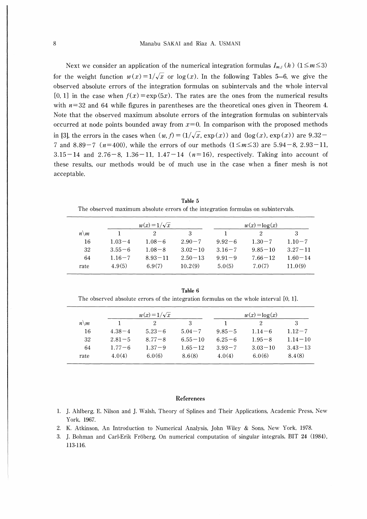Next we consider an application of the numerical integration formulas  $I_{m,i}(h)$  (1≤m≤3) for the weight function  $w(x) = 1/\sqrt{x}$  or log(x). In the following Tables 5-6, we give the observed absolute errors of the integration formulas on subintervals and the whole interval [0, 1] in the case when  $f(x) = \exp(5x)$ . The rates are the ones from the numerical results with  $n=32$  and 64 while figures in parentheses are the theoretical ones given in Theorem 4. Note that the observed maximum absolute errors of the integration formulas on subintervals occurred at node points bounded away from  $x=0$ . In comparison with the proposed methods in [3], the errors in the cases when  $(w, f) = (1/\sqrt{x}, \exp(x))$  and  $(\log(x), \exp(x))$  are 9.32-7 and 8.89-7 ( $n=400$ ), while the errors of our methods (1≤ $m≤3$ ) are 5.94-8, 2.93-11,  $3.15-14$  and  $2.76-8$ ,  $1.36-11$ ,  $1.47-14$  ( $n=16$ ), respectively. Taking into account of these results, our methods would be of much use in the case when a finer mesh is not acceptable.

|                 |            | $w(x)=1/\sqrt{x}$ | $w(x) = \log(x)$ |            |             |             |
|-----------------|------------|-------------------|------------------|------------|-------------|-------------|
| $n\backslash m$ |            |                   | 3                |            |             | З           |
| 16              | $1.03 - 4$ | $1.08 - 6$        | $2.90 - 7$       | $9.92 - 6$ | $1.30 - 7$  | $1.10 - 7$  |
| 32              | $3.55 - 6$ | $1.08 - 8$        | $3.02 - 10$      | $3.16 - 7$ | $9.85 - 10$ | $3.27 - 11$ |
| 64              | $1.16 - 7$ | $8.93 - 11$       | $2.50 - 13$      | $9.91 - 9$ | $7.66 - 12$ | $1.60 - 14$ |
| rate            | 4.9(5)     | 6.9(7)            | 10.2(9)          | 5.0(5)     | 7.0(7)      | 11.0(9)     |

Table 5 The observed maximum absolute errors of the integration formulas on subintervals.

Table 6 The observed absolute errors of the integration formulas on the whole interval [0, lj.

|                 |            | $w(x)=1/\sqrt{x}$ |             | $w(x) = \log(x)$ |             |             |
|-----------------|------------|-------------------|-------------|------------------|-------------|-------------|
| $n\backslash m$ |            | 2                 | З           |                  |             | 3           |
| 16              | $4.38 - 4$ | $5.23 - 6$        | $5.04 - 7$  | $9.85 - 5$       | $1.14 - 6$  | $1.12 - 7$  |
| 32              | $2.81 - 5$ | $8.77 - 8$        | $6.55 - 10$ | $6.25 - 6$       | $1.95 - 8$  | $1.14 - 10$ |
| 64              | $1.77 - 6$ | $1.37 - 9$        | $1.65 - 12$ | $3.93 - 7$       | $3.03 - 10$ | $3.43 - 13$ |
| rate            | 4.0(4)     | 6.0(6)            | 8.6(8)      | 4.0(4)           | 6.0(6)      | 8.4(8)      |

#### References

- 1. J. Ahlberg, E. Nilson and J. Walsh, Theory of Splines and Their Applications, Academic Press, New York, 1967.
- 2. K. Atkinson, An Introduction to Numerical Analysis, John Wiley & Sons, New York, 1978.
- 3. J. Bohman and Carl-Erik Froberg, On numerical computation of singular integrals, BIT 24 (1984), 113-116.